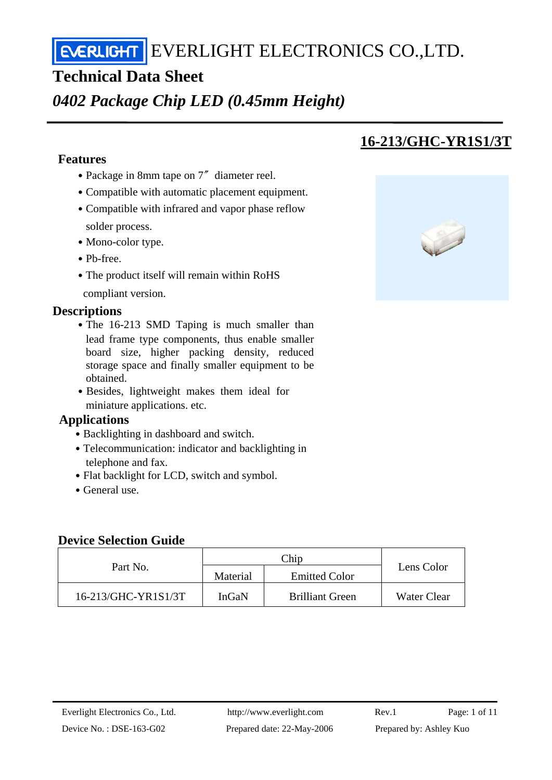# **Technical Data Sheet**

*0402 Package Chip LED (0.45mm Height)* 

## **Features**

- Package in 8mm tape on 7<sup>″</sup> diameter reel.
- ․Compatible with automatic placement equipment.
- Compatible with infrared and vapor phase reflow solder process.
- Mono-color type.
- ․Pb-free.
- The product itself will remain within RoHS compliant version.

## **Descriptions**

- The 16-213 SMD Taping is much smaller than lead frame type components, thus enable smaller board size, higher packing density, reduced storage space and finally smaller equipment to be obtained.
- Besides, lightweight makes them ideal for miniature applications. etc.

#### **Applications**

- Backlighting in dashboard and switch.
- Telecommunication: indicator and backlighting in telephone and fax.
- Flat backlight for LCD, switch and symbol.
- General use.

#### **Device Selection Guide**

| Part No.            | Material | <b>Emitted Color</b>   | Lens Color  |
|---------------------|----------|------------------------|-------------|
| 16-213/GHC-YR1S1/3T | InGaN    | <b>Brilliant Green</b> | Water Clear |

# **16-213/GHC-YR1S1/3T**

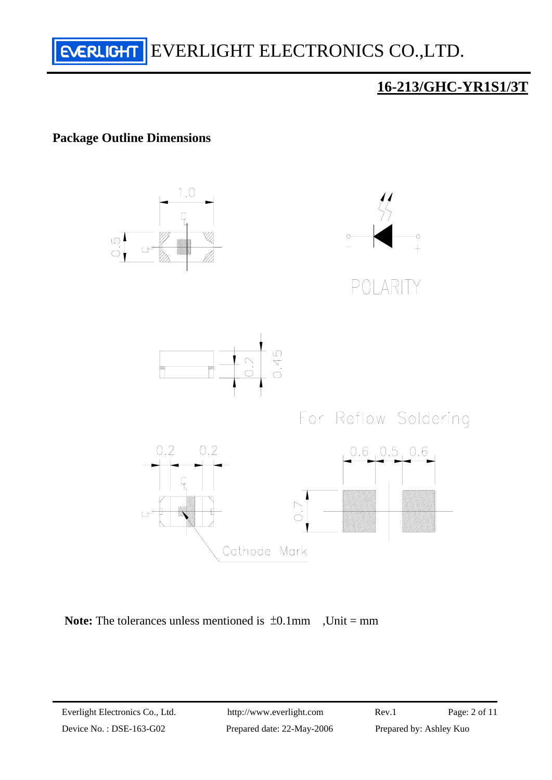

### **Package Outline Dimensions**





Device No.: DSE-163-G02 Prepared date: 22-May-2006 Prepared by: Ashley Kuo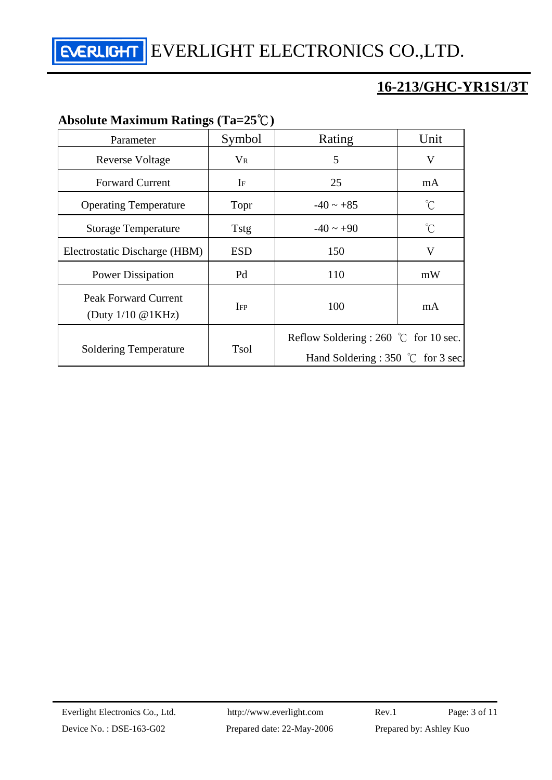# **16-213/GHC-YR1S1/3T**

## **Absolute Maximum Ratings (Ta=25**℃**)**

| Parameter                                              | Symbol      | Rating                                                                                        | Unit         |
|--------------------------------------------------------|-------------|-----------------------------------------------------------------------------------------------|--------------|
| <b>Reverse Voltage</b>                                 | $V_{R}$     | 5                                                                                             | V            |
| <b>Forward Current</b>                                 | $\rm I$ F   | 25                                                                                            | mA           |
| <b>Operating Temperature</b>                           | Topr        | $-40 \sim +85$                                                                                | $^{\circ}$ C |
| <b>Storage Temperature</b>                             | <b>Tstg</b> | $-40 \sim +90$                                                                                | °C           |
| Electrostatic Discharge (HBM)                          | <b>ESD</b>  | 150                                                                                           | V            |
| <b>Power Dissipation</b>                               | Pd          | 110                                                                                           | mW           |
| Peak Forward Current<br>(Duty $1/10 \text{ @ } 1KHz$ ) | <b>IFP</b>  | 100                                                                                           | mA           |
| <b>Soldering Temperature</b>                           | <b>Tsol</b> | Reflow Soldering : 260 $\degree$ C for 10 sec.<br>Hand Soldering : 350 $\degree$ C for 3 sec. |              |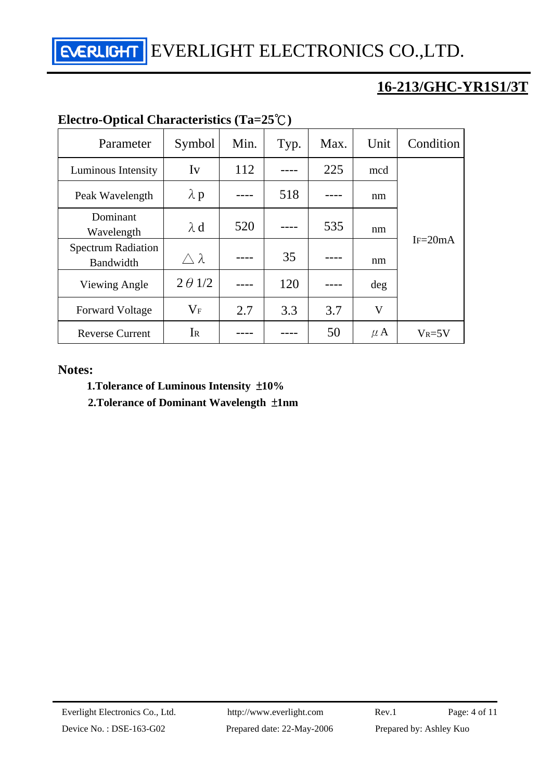# **16-213/GHC-YR1S1/3T**

| Electro-Optical Characteristics (1a=25 $\cup$ ) |                  |      |      |      |         |             |  |  |
|-------------------------------------------------|------------------|------|------|------|---------|-------------|--|--|
| Parameter                                       | Symbol           | Min. | Typ. | Max. | Unit    | Condition   |  |  |
| Luminous Intensity                              | $I_{V}$          | 112  |      | 225  | mcd     |             |  |  |
| Peak Wavelength                                 | $\lambda$ p      |      | 518  |      | nm      |             |  |  |
| Dominant<br>Wavelength                          | $\lambda$ d      | 520  |      | 535  | nm      |             |  |  |
| <b>Spectrum Radiation</b><br>Bandwidth          | $\wedge \lambda$ |      | 35   |      | nm      | $IF = 20mA$ |  |  |
| Viewing Angle                                   | $2 \theta$ 1/2   |      | 120  |      | deg     |             |  |  |
| <b>Forward Voltage</b>                          | $\rm V_F$        | 2.7  | 3.3  | 3.7  | V       |             |  |  |
| <b>Reverse Current</b>                          | IR               |      |      | 50   | $\mu$ A | $V_R = 5V$  |  |  |

## **Electro-Optical Characteristics (Ta=25**℃**)**

#### **Notes:**

#### **1.Tolerance of Luminous Intensity** ±**10%**

 **2.Tolerance of Dominant Wavelength** ±**1nm**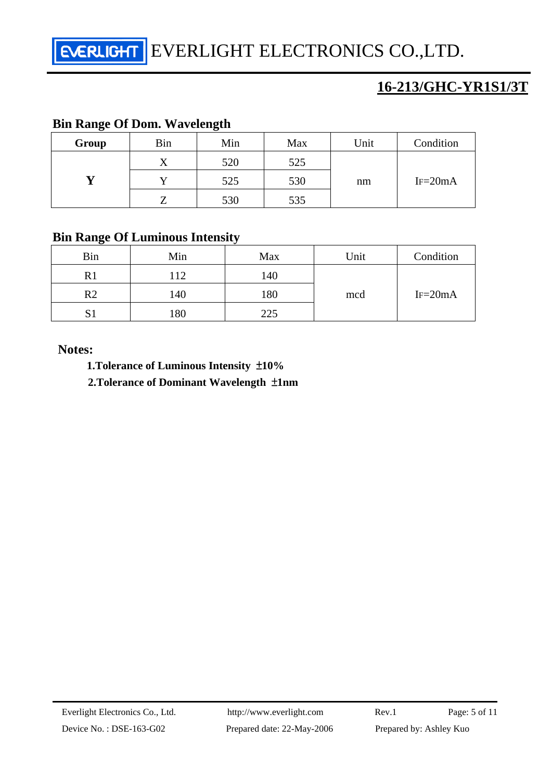## **16-213/GHC-YR1S1/3T**

### **Bin Range Of Dom. Wavelength**

| Group | Bin | Min | Max | Unit | Condition   |
|-------|-----|-----|-----|------|-------------|
|       | △   | 520 | 525 |      |             |
|       |     | 525 | 530 | nm   | $IF = 20mA$ |
|       |     | 530 | 535 |      |             |

#### **Bin Range Of Luminous Intensity**

| <b>Bin</b>        | Min | Max | Unit | Condition   |
|-------------------|-----|-----|------|-------------|
| R1                | 112 | 140 |      |             |
| $\rm R2$          | 140 | 180 | mcd  | $IF = 20mA$ |
| $\mathbf{C}$<br>د | 180 | 225 |      |             |

#### **Notes:**

 **1.Tolerance of Luminous Intensity** ±**10%** 

 **2.Tolerance of Dominant Wavelength** ±**1nm**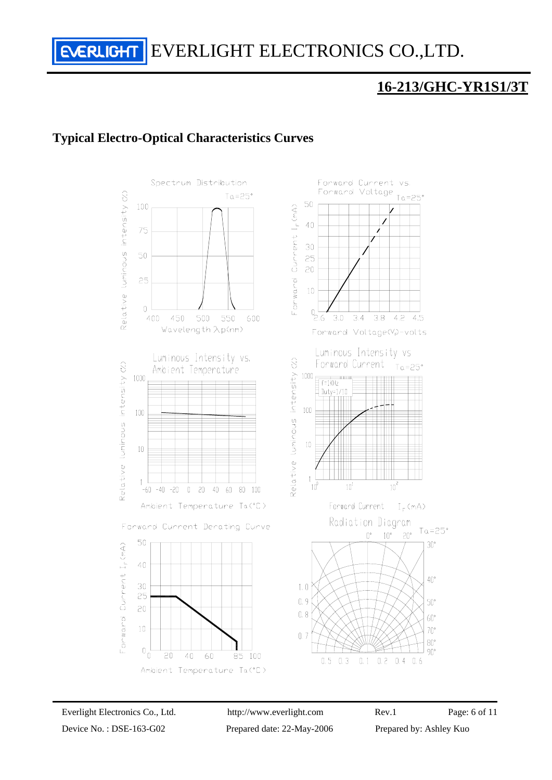## **16-213/GHC-YR1S1/3T**

## **Typical Electro-Optical Characteristics Curves**



Device No.: DSE-163-G02 Prepared date: 22-May-2006 Prepared by: Ashley Kuo

Everlight Electronics Co., Ltd. http://www.everlight.com Rev.1 Page: 6 of 11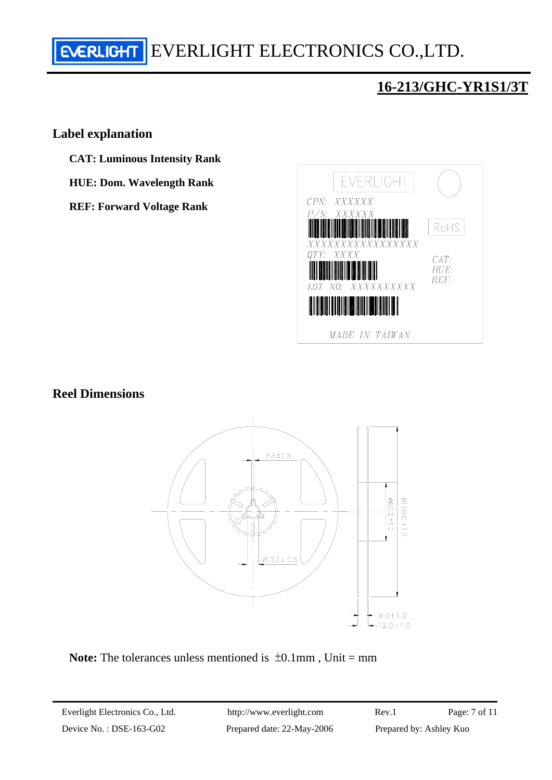# **16-213/GHC-YR1S1/3T**

#### **Label explanation**

- **CAT: Luminous Intensity Rank**
- **HUE: Dom. Wavelength Rank**
- **REF: Forward Voltage Rank**



#### **Reel Dimensions**



**Note:** The tolerances unless mentioned is  $\pm 0.1$  mm, Unit = mm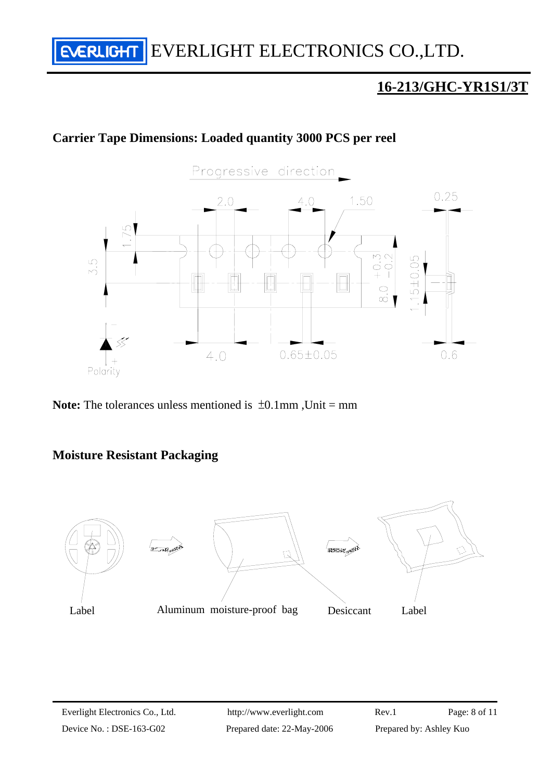## **Carrier Tape Dimensions: Loaded quantity 3000 PCS per reel**



**Note:** The tolerances unless mentioned is  $\pm 0.1$ mm, Unit = mm

#### **Moisture Resistant Packaging**

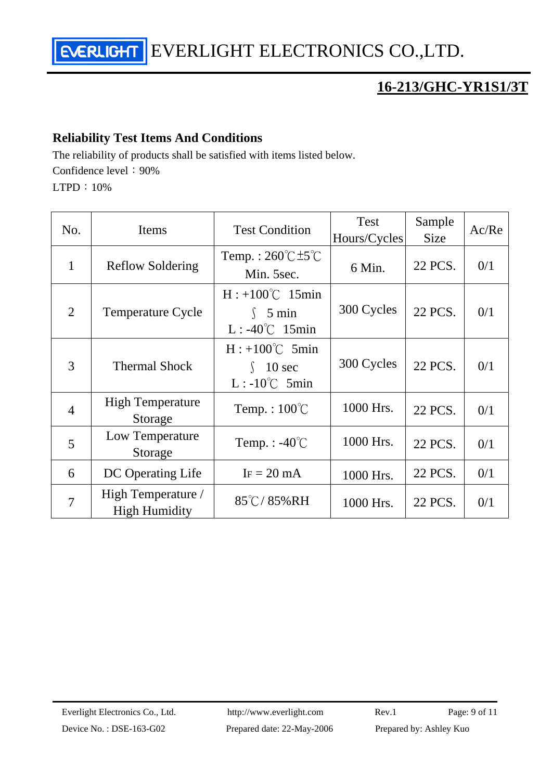# **16-213/GHC-YR1S1/3T**

## **Reliability Test Items And Conditions**

The reliability of products shall be satisfied with items listed below. Confidence level: 90%

LTPD:10%

| No.            | Items                                      | <b>Test Condition</b>                                                  | <b>Test</b><br>Hours/Cycles | Sample<br><b>Size</b> | Ac/Re |
|----------------|--------------------------------------------|------------------------------------------------------------------------|-----------------------------|-----------------------|-------|
| 1              | <b>Reflow Soldering</b>                    | Temp.: $260^{\circ}$ C $\pm 5^{\circ}$ C<br>Min. 5sec.                 | 6 Min.                      | 22 PCS.               | 0/1   |
| $\overline{2}$ | <b>Temperature Cycle</b>                   | $H: +100^{\circ}C$ 15min<br>$\int$ 5 min<br>$L: -40^{\circ}C$ 15min    | 300 Cycles                  | 22 PCS.               | 0/1   |
| 3              | <b>Thermal Shock</b>                       | $H: +100^{\circ}C$ 5min<br>10 <sub>sec</sub><br>$L: -10^{\circ}C$ 5min | 300 Cycles                  | 22 PCS.               | 0/1   |
| $\overline{4}$ | <b>High Temperature</b><br>Storage         | Temp.: $100^{\circ}$ C                                                 | 1000 Hrs.                   | 22 PCS.               | 0/1   |
| 5              | Low Temperature<br>Storage                 | Temp. : $-40^{\circ}$ C                                                | 1000 Hrs.                   | 22 PCS.               | 0/1   |
| 6              | DC Operating Life                          | $IF = 20 mA$                                                           | 1000 Hrs.                   | 22 PCS.               | 0/1   |
| $\overline{7}$ | High Temperature /<br><b>High Humidity</b> | $85^{\circ}$ C/85%RH                                                   | 1000 Hrs.                   | 22 PCS.               | 0/1   |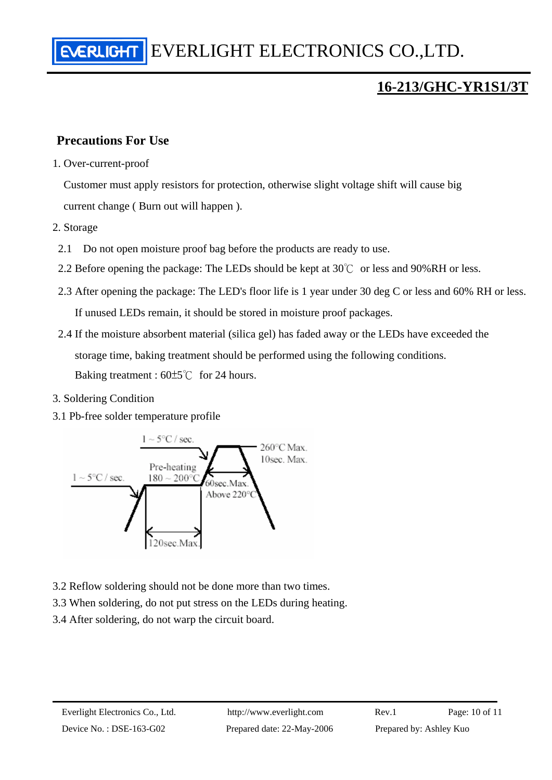### **Precautions For Use**

1. Over-current-proof

Customer must apply resistors for protection, otherwise slight voltage shift will cause big current change ( Burn out will happen ).

- 2. Storage
	- 2.1 Do not open moisture proof bag before the products are ready to use.
- 2.2 Before opening the package: The LEDs should be kept at 30℃ or less and 90%RH or less.
- 2.3 After opening the package: The LED's floor life is 1 year under 30 deg C or less and 60% RH or less. If unused LEDs remain, it should be stored in moisture proof packages.
- 2.4 If the moisture absorbent material (silica gel) has faded away or the LEDs have exceeded the storage time, baking treatment should be performed using the following conditions. Baking treatment : 60±5℃ for 24 hours.
- 3. Soldering Condition
- 3.1 Pb-free solder temperature profile



- 3.2 Reflow soldering should not be done more than two times.
- 3.3 When soldering, do not put stress on the LEDs during heating.
- 3.4 After soldering, do not warp the circuit board.